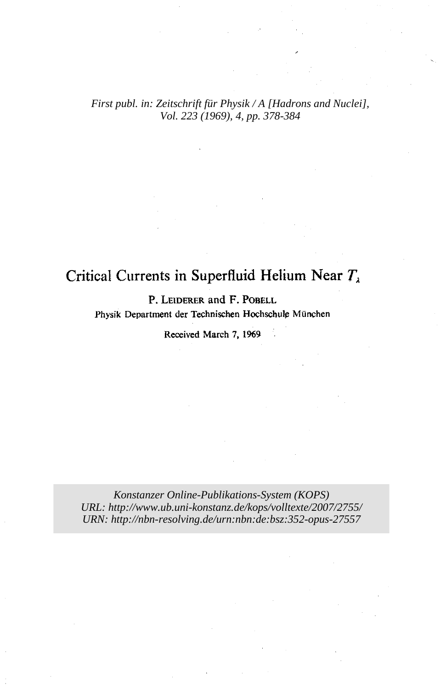## *First publ. in: [Zeitschrift für Physik / A \[Hadrons and Nuclei\],](http://www.springerlink.com/content/100378/)  Vol. 223 (1969), 4, pp. 378-384*

# **Critical Currents in Superfluid Helium Near T,**

**P. LEIDERER and F. POBELL Physik Department der Technischen Hochschulp Miinchen** 

**Received March 7, 1%9** 

*Konstanzer Online-Publikations-System (KOPS) URL:<http://www.ub.uni-konstanz.de/kops/volltexte/2007/2755/> URN:<http://nbn-resolving.de/urn:nbn:de:bsz:352-opus-27557>*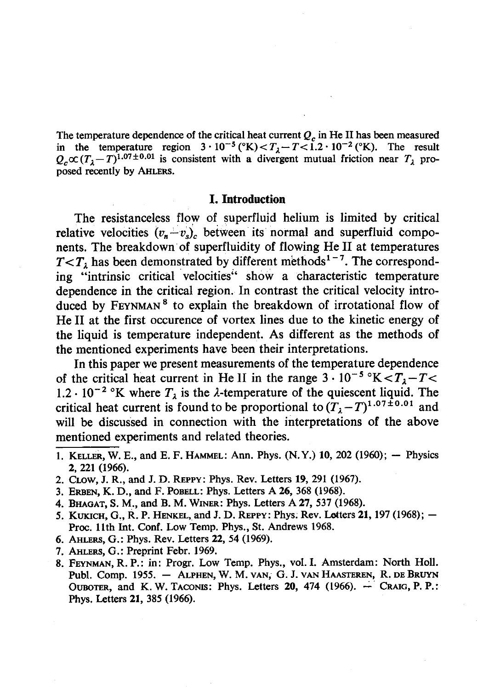The temperature dependence of the critical heat current *Q,* in He **I1** has been measured in the temperature region  $3 \cdot 10^{-5}$  ( $\frac{\text{K}}{\text{K}}$ )  $\lt T_{\lambda} - T \lt 1.2 \cdot 10^{-2}$  ( $\frac{\text{K}}{\text{K}}$ ). The result  $Q_c \propto (T_{\lambda}-T)^{1.07\pm0.01}$  is consistent with a divergent mutual friction near  $T_{\lambda}$  proposed recently by AHLERS.

#### **I. Introduction**

The resistanceless flow of superfluid helium is limited by critical relative velocities  $(v_n-v_s)$ , between its normal and superfluid components. The breakdown of superfluidity of flowing He I1 at temperatures  $T < T_{\lambda}$  has been demonstrated by different methods<sup>1-7</sup>. The corresponding "intrinsic critical velocities" show a characteristic temperature dependence in the critical region. In contrast the critical velocity introduced by **FEYNMAN** to explain the breakdown of irrotational flow of He I1 at the first occurence of vortex lines due to the kinetic energy of the liquid is temperature independent. As different as the methods of the mentioned experiments have been their interpretations.

In this paper we present measurements of the temperature dependence of the critical heat current in He II in the range  $3 \cdot 10^{-5}$   $K < T_1 - T <$  $1.2 \cdot 10^{-2}$  <sup>o</sup>K where  $T_1$  is the  $\lambda$ -temperature of the quiescent liquid. The critical heat current is found to be proportional to  $(T_1-T)^{1.07\pm0.01}$  and will be discussed in connection with the interpretations of the above mentioned experiments and related theories.

- 1. KELLER, W. E., and E. F. HAMMEL: Ann. Phys. (N.Y.) **10, 202 (1960);**  Physics **2, 221 (1966).**
- 2. CLOW, J. R., and J. D. REPPY: Phys. Rev. Letters 19, **291 (1967).**
- **3.** ERBEN, **K. D.,** and F. POBELL: Phys. Letters A 26, **368 (1968).**
- **4.** BHAGAT, **S.** M., and B. M. WINER: Phys. Letters A **27, 537 (1968).**
- **5. KUKICH,** *G.,* **R.** P. HENKEL, and J. D. REPPY: Phys. Rev. Letters **21, 197 (1968);**  Proc. **11th** Int. Conf. Low Temp. Phys., St. Andrews **1968.**
- **6.** AHLERS, *G.:* Phys. Rev. Letters **22,** 54 **(1969).**
- **7.** AHLERS, *G.:* Preprint Febr. **1969.**
- **8.** FEYNMAN, **R.** P.: in: Progr. Low Temp. Phys., vol. I. Amsterdam: North Holl. FEYNMAN, R. P.: in: Progr. Low Temp. Phys., vol. I. Amsterdam: North Holl.<br>Publ. Comp. 1955. — ALPHEN, W. M. van, G. J. van Haasteren, R. de Bruyn Publ. Comp. 1955. – Alphen, W. M. van, G. J. van Haasteren, R. de Bruyn<br>Ouboter, and K. W. Taconis: Phys. Letters **20**, 474 (1966). – Craig, P. P.: Phys. Letters **21, 385 (1966).**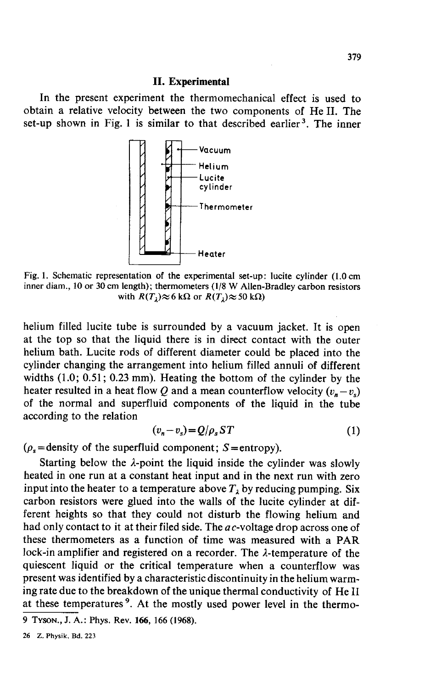#### **11. Experimental**

In the present experiment the thermomechanical effect is used to obtain a relative velocity between the two components of He **11.** The set-up shown in Fig. 1 is similar to that described earlier<sup>3</sup>. The inner



**Fig. 1. Schematic representation of the experimental set-up: lucite cylinder** *(1.0* **cm inner diam.,** *10* **or** *30* **cm length); thermometers** *(118* **W Allen-Bradley carbon resistors**  with  $R(T_1) \approx 6 \text{ k}\Omega$  or  $R(T_1) \approx 50 \text{ k}\Omega$ )

helium filled lucite tube is surrounded by a vacuum jacket. It is open at the top so that the liquid there is in direct contact with the outer helium bath. Lucite rods of different diameter could be placed into the cylinder changing the arrangement into helium filled annuli of different widths (1.0; 0.51; 0.23 mm). Heating the bottom of the cylinder by the heater resulted in a heat flow Q and a mean counterflow velocity  $(v_n - v_s)$ of the normal and superfluid components of the liquid in the tube according to the relation

$$
(v_n - v_s) = Q/\rho_s \, ST \tag{1}
$$

 $(\rho_s =$  density of the superfluid component; *S* = entropy).

Starting below the  $\lambda$ -point the liquid inside the cylinder was slowly heated in one run at a constant heat input and in the next run with zero input into the heater to a temperature above  $T<sub>1</sub>$  by reducing pumping. Six carbon resistors were glued into the walls of the lucite cylinder at different heights so that they could not disturb the flowing helium and had only contact to it at their filed side. The *ac*-voltage drop across one of these thermometers as a function of time was measured with a PAR lock-in amplifier and registered on a recorder. The  $\lambda$ -temperature of the quiescent liquid or the critical temperature when a counterflow was present was identified by a characteristic discontinuity in the helium warming rate due to the breakdown of the unique thermal conductivity of He **I1**  at these temperatures<sup>9</sup>. At the mostly used power level in the thermo-

**<sup>9</sup> TYSON., J. A.: Phys. Rev. 166,** *166 (1968).* 

**<sup>26</sup> Z. Physik. Bd. 223**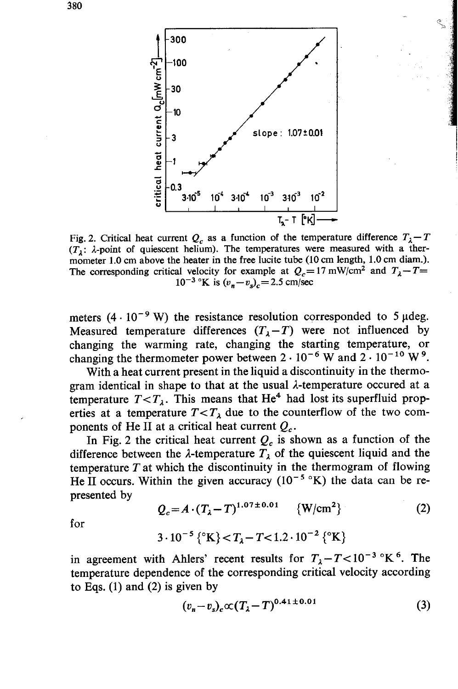

Fig. 2. Critical heat current  $Q_c$  as a function of the temperature difference  $T_1 - T$  $(T_1: \lambda\text{-point of quiescent helium})$ . The temperatures were measured with a ther**mometer 1.0 cm above the heater in the free lucite tube (10 cm length, 1.0 cm diam.).**  The corresponding critical velocity for example at  $Q_c = 17$  mW/cm<sup>2</sup> and  $T_{\lambda} - T = 10^{-3}$  °K is  $(v_n - v_s)_c = 2.5$  cm/sec

meters  $(4 \cdot 10^{-9} \text{ W})$  the resistance resolution corresponded to 5  $\mu$ deg. Measured temperature differences  $(T_{\lambda}-T)$  were not influenced by changing the warming rate, changing the starting temperature, or changing the thermometer power between  $2 \cdot 10^{-6}$  W and  $2 \cdot 10^{-10}$  W<sup>9</sup>.

With a heat current present in the liquid a discontinuity in the thermogram identical in shape to that at the usual  $\lambda$ -temperature occured at a temperature  $T < T_{\lambda}$ . This means that He<sup>4</sup> had lost its superfluid properties at a temperature  $T < T_{\lambda}$  due to the counterflow of the two components of He I1 at a critical heat current **Q,.** 

In Fig. 2 the critical heat current  $Q_c$  is shown as a function of the difference between the  $\lambda$ -temperature  $T_{\lambda}$  of the quiescent liquid and the temperature  $T$  at which the discontinuity in the thermogram of flowing He II occurs. Within the given accuracy  $(10^{-5} \text{°K})$  the data can be represented by

$$
Q_c = A \cdot (T_{\lambda} - T)^{1.07 \pm 0.01} \quad \{W/cm^2\}
$$
 (2)

for

$$
3 \cdot 10^{-5} \, \{^{\circ}K\} < T_{\lambda} - T < 1.2 \cdot 10^{-2} \, \{^{\circ}K\}
$$

in agreement with Ahlers' recent results for  $T_{\lambda}-T<10^{-3}$  °K<sup>6</sup>. The temperature dependence of the corresponding critical velocity according to Eqs. **(1)** and **(2)** is given by

$$
(v_n - v_s)_c \propto (T_1 - T)^{0.41 \pm 0.01} \tag{3}
$$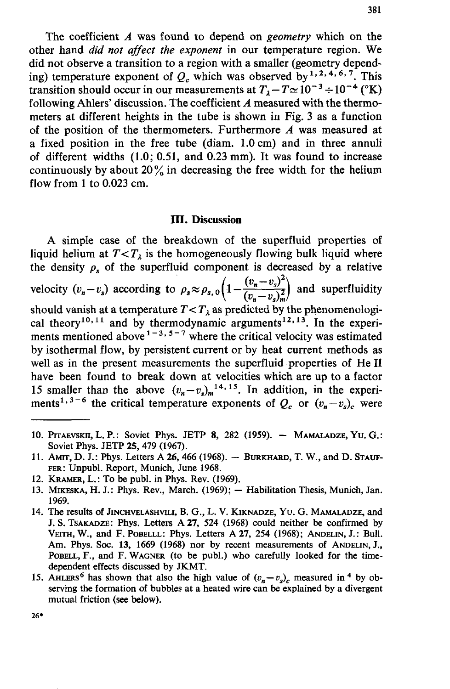The coefficient A was found to depend on *geometry* which on the other hand *did not* affect *the exponent* in our temperature region. We did not observe a transition to a region with a smaller (geometry depending) temperature exponent of  $Q_c$  which was observed by <sup>1, 2, 4, 6, 7</sup>. This transition should occur in our measurements at  $T_A - T \approx 10^{-3} \div 10^{-4}$  ( $\rm{K}$ ) following Ahlers' discussion. The coefficient  $A$  measured with the thermometers at different heights in the tube is shown in Fig.  $3$  as a function of the position of the thermometers. Furthermore  $\vec{A}$  was measured at a fixed position in the free tube (diam. 1.0 cm) and in three annuli of different widths (1.0; 0.51, and 0.23 mm). It was found to increase continuously by about  $20\%$  in decreasing the free width for the helium flow from 1 to 0.023 cm.

### **III. Discussion**

A simple case of the breakdown of the superfluid properties of liquid helium at  $T < T<sub>i</sub>$  is the homogeneously flowing bulk liquid where the density  $\rho_s$  of the superfluid component is decreased by a relative velocity  $(v_n-v_s)$  according to  $\rho_s \approx \rho_{s,0} \left(1-\frac{(v_n-v_s)^2}{(v_s-v_s)^2}\right)$  and superfluidity should vanish at a temperature  $T < T_{\lambda}$  as predicted by the phenomenological theory<sup>10,11</sup> and by thermodynamic arguments<sup>12,13</sup>. In the experiments mentioned above  $1-3, 5-7$  where the critical velocity was estimated by isothermal flow, by persistent current or by heat current methods as well as in the present measurements the superfluid properties of He **I1**  have been found to break down at velocities which are up to a factor 15 smaller than the above  $(v_n - v_s)_m^{14, 15}$ . In addition, in the experiments<sup>1,3-6</sup> the critical temperature exponents of  $Q_c$  or  $(v_n-v_s)$ , were

- 10. PITAEVSKII, L. P.: Soviet Phys. JETP 8, 282 (1959). MAMALADZE, YU. G.: Soviet Phys. JETP 25,479 (1967).
- 11. AMIT, D. J.: Phys. Letters A 26, 466 (1968). BURKHARD, T. W., and D. STAUF-FER: Unpubl. Report, Munich, June 1968.
- 12. KRAMER, L.: TO be publ. in Phys. Rev. (1969).
- 13. MIKESKA, H. J.: Phys. Rev., March. (1969); Habilitation Thesis, Munich, Jan. 1969.
- 14. The results of JINCHVELASHVILI, B. G., L. V. KIKNADZE, Yu. G. MAMALADZE, and J. S. TSAKADZE: Phys. Letters A 27, 524 (1968) could neither be confirmed by VEITH, W., and F. POBELLL: Phys. Letters A 27, 254 (1968); ANDELIN, J.: Bull. Am. Phys. Soc. 13, 1669 (1968) nor by recent measurements of ANDELIN, J., POBELL, F., and F. WAGNER (to be publ.) who carefully looked for the timedependent effects discussed by JKMT.
- 15. AHLERS<sup>6</sup> has shown that also the high value of  $(v_n-v_s)$ , measured in <sup>4</sup> by observing the formation of bubbles at a heated wire can be explained by a divergent mutual friction (see below).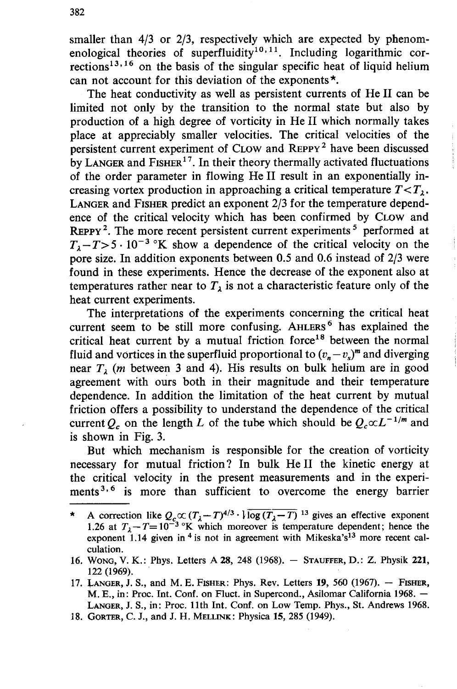smaller than *413* or *213,* respectively which are expected by phenomenological theories of superfluidity<sup>10,11</sup>. Including logarithmic corrections<sup>13,16</sup> on the basis of the singular specific heat of liquid helium can not account for this deviation of the exponents\*.

The heat conductivity as well as persistent currents of He I1 can be limited not only by the transition to the normal state but also by production of a high degree of vorticity in He **I1** which normally takes place at appreciably smaller velocities. The critical velocities of the persistent current experiment of CLOW and REPPY<sup>2</sup> have been discussed by LANGER and  $F_{\text{ISHER}}^{17}$ . In their theory thermally activated fluctuations of the order parameter in flowing He I1 result in an exponentially increasing vortex production in approaching a critical temperature  $T < T_1$ . LANGER and FISHER predict an exponent *213* for the temperature dependence of the critical velocity which has been confirmed by CLOW and REPPY<sup>2</sup>. The more recent persistent current experiments<sup>5</sup> performed at  $T_1 - T > 5 \cdot 10^{-3}$  K show a dependence of the critical velocity on the pore size. In addition exponents between 0.5 and 0.6 instead of *213* were found in these experiments. Hence the decrease of the exponent also at temperatures rather near to  $T_1$  is not a characteristic feature only of the heat current experiments.

The interpretations of the experiments concerning the critical heat current seem to be still more confusing. AHLERS<sup> $6$ </sup> has explained the critical heat current by a mutual friction force<sup>18</sup> between the normal fluid and vortices in the superfluid proportional to  $(v_n - v_n)^m$  and diverging near **T,** (m between *3* and *4).* His results on bulk helium are in good agreement with ours both in their magnitude and their temperature dependence. In addition the limitation of the heat current by mutual friction offers a possibility to understand the dependence of the critical current  $Q_c$  on the length L of the tube which should be  $Q_c \propto L^{-1/m}$  and is shown in Fig. *3.* 

But which mechanism is responsible for the creation of vorticity necessary for mutual friction? In bulk He **I1** the kinetic energy at the critical velocity in the present measurements and in the experiments<sup>3, 6</sup> is more than sufficient to overcome the energy barrier But which mechanism is responsible for the creation of vorticity<br>necessary for mutual friction? In bulk He II the kinetic energy at<br>the critical velocity in the present measurements and in the experi-<br>ments<sup>3,6</sup> is more t

exponent 1.14 given in <sup>4</sup> is not in agreement with Mikeska's<sup>13</sup> more recent cal**culation.** 

**<sup>16.</sup> WONG, V. K.: Phys. Letters A 28, 248 (1968).** - **STAUFFER, D.: Z. Physik 221, 122 (1969).** 

**<sup>122 (1969).</sup>**<br>17. LANGER, J. S., and M. E. FISHER: Phys. Rev. Letters 19, 560 (1967). - FISHER, LANGER, J. S., and M. E. FISHER: Phys. Rev. Letters **19**, 560 (1967). -- FISHER, M. E., in: Proc. Int. Conf. on Fluct. in Supercond., Asilomar California 1968. --**LANGER, J. S., in: Proc. 11th Int. Conf. on Low Temp. Phys., St. Andrews 1968.** 

**<sup>18.</sup> GORTER, C. J., and J. H. MELLINK: Physica 15, 285 (1949).**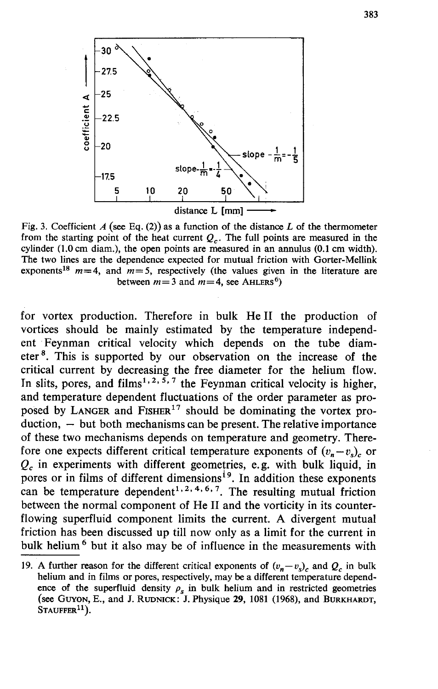

Fig. 3. Coefficient  $A$  (see Eq. (2)) as a function of the distance  $L$  of the thermometer from the starting point of the heat current  $Q<sub>c</sub>$ . The full points are measured in the cylinder (1.0 cm diam.), the open points are measured in an annulus (0.1 cm width). The two lines are the dependence expected for mutual friction with Gorter-Mellink exponents<sup>18</sup>  $m=4$ , and  $m=5$ , respectively (the values given in the literature are between  $m=3$  and  $m=4$ , see AHLERS<sup>6</sup>)

for vortex production. Therefore in bulk He **I1** the production of vortices should be mainly estimated by the temperature independent Feynman critical velocity which depends on the tube diameter<sup>8</sup>. This is supported by our observation on the increase of the critical current by decreasing the free diameter for the helium flow. In slits, pores, and films<sup>1, 2,  $5^{\frac{1}{5}}$  the Feynman critical velocity is higher,</sup> and temperature dependent fluctuations of the order parameter as proposed by LANGER and FISHER<sup>17</sup> should be dominating the vortex pro $duction. - but both mechanisms can be present. The relative importance$ of these two mechanisms depends on temperature and geometry. Therefore one expects different critical temperature exponents of  $(v_n-v_s)$ , or *Q,* in experiments with different geometries, e.g. with bulk liquid, in pores or in films of different dimensions<sup>19</sup>. In addition these exponents can be temperature dependent<sup>1, 2, 4, 6, 7. The resulting mutual friction</sup> between the normal component of He I1 and the vorticity in its counterflowing superfluid component limits the current. A divergent mutual friction has been discussed up till now only as a limit for the current in bulk helium<sup>6</sup> but it also may be of influence in the measurements with

<sup>19.</sup> A further reason for the different critical exponents of  $(v_n-v_s)_c$  and  $Q_c$  in bulk helium and in films or pores, respectively, may be a different temperature dependence of the superfluid density  $\rho_s$  in bulk helium and in restricted geometries (see GUYON, E., and J. RUDNICK: J. Physique 29, 1081 (1968), and BURKHARDT,  $STAUFFER<sup>11</sup>$ .